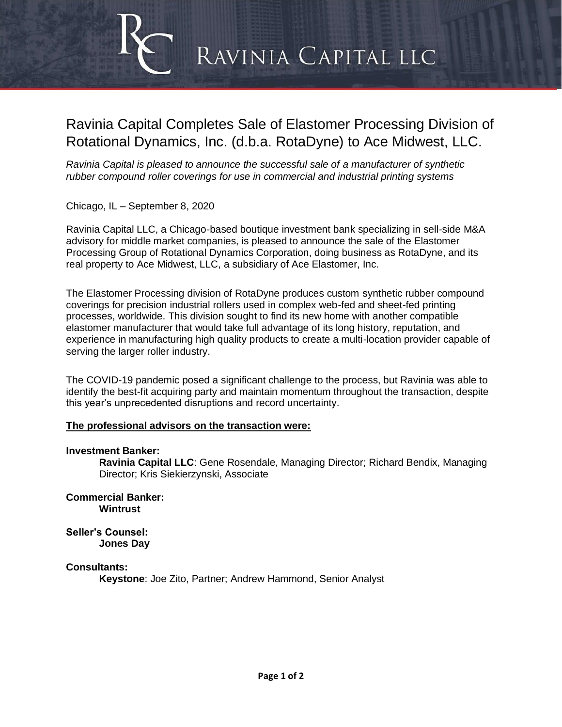# RAVINIA CAPITAL LLC

# Ravinia Capital Completes Sale of Elastomer Processing Division of Rotational Dynamics, Inc. (d.b.a. RotaDyne) to Ace Midwest, LLC.

*Ravinia Capital is pleased to announce the successful sale of a manufacturer of synthetic rubber compound roller coverings for use in commercial and industrial printing systems* 

Chicago, IL – September 8, 2020

Ravinia Capital LLC, a Chicago-based boutique investment bank specializing in sell-side M&A advisory for middle market companies, is pleased to announce the sale of the Elastomer Processing Group of Rotational Dynamics Corporation, doing business as RotaDyne, and its real property to Ace Midwest, LLC, a subsidiary of Ace Elastomer, Inc.

The Elastomer Processing division of RotaDyne produces custom synthetic rubber compound coverings for precision industrial rollers used in complex web-fed and sheet-fed printing processes, worldwide. This division sought to find its new home with another compatible elastomer manufacturer that would take full advantage of its long history, reputation, and experience in manufacturing high quality products to create a multi-location provider capable of serving the larger roller industry.

The COVID-19 pandemic posed a significant challenge to the process, but Ravinia was able to identify the best-fit acquiring party and maintain momentum throughout the transaction, despite this year's unprecedented disruptions and record uncertainty.

#### **The professional advisors on the transaction were:**

#### **Investment Banker:**

**Ravinia Capital LLC**: Gene Rosendale, Managing Director; Richard Bendix, Managing Director; Kris Siekierzynski, Associate

**Commercial Banker: Wintrust**

**Seller's Counsel: Jones Day**

#### **Consultants:**

**Keystone**: Joe Zito, Partner; Andrew Hammond, Senior Analyst